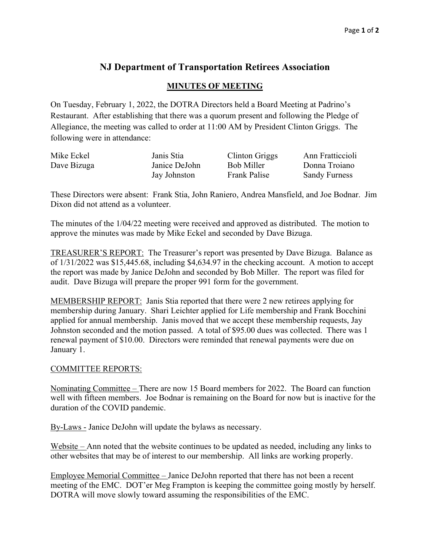## **NJ Department of Transportation Retirees Association**

## **MINUTES OF MEETING**

On Tuesday, February 1, 2022, the DOTRA Directors held a Board Meeting at Padrino's Restaurant. After establishing that there was a quorum present and following the Pledge of Allegiance, the meeting was called to order at 11:00 AM by President Clinton Griggs. The following were in attendance:

| Mike Eckel  | Janis Stia    | Clinton Griggs      | Ann Fratticcioli     |
|-------------|---------------|---------------------|----------------------|
| Dave Bizuga | Janice DeJohn | Bob Miller          | Donna Troiano        |
|             | Jay Johnston  | <b>Frank Palise</b> | <b>Sandy Furness</b> |

These Directors were absent: Frank Stia, John Raniero, Andrea Mansfield, and Joe Bodnar. Jim Dixon did not attend as a volunteer.

The minutes of the 1/04/22 meeting were received and approved as distributed. The motion to approve the minutes was made by Mike Eckel and seconded by Dave Bizuga.

TREASURER'S REPORT: The Treasurer's report was presented by Dave Bizuga. Balance as of 1/31/2022 was \$15,445.68, including \$4,634.97 in the checking account. A motion to accept the report was made by Janice DeJohn and seconded by Bob Miller. The report was filed for audit. Dave Bizuga will prepare the proper 991 form for the government.

MEMBERSHIP REPORT: Janis Stia reported that there were 2 new retirees applying for membership during January. Shari Leichter applied for Life membership and Frank Bocchini applied for annual membership. Janis moved that we accept these membership requests, Jay Johnston seconded and the motion passed. A total of \$95.00 dues was collected. There was 1 renewal payment of \$10.00. Directors were reminded that renewal payments were due on January 1.

## COMMITTEE REPORTS:

Nominating Committee – There are now 15 Board members for 2022. The Board can function well with fifteen members. Joe Bodnar is remaining on the Board for now but is inactive for the duration of the COVID pandemic.

By-Laws - Janice DeJohn will update the bylaws as necessary.

Website – Ann noted that the website continues to be updated as needed, including any links to other websites that may be of interest to our membership. All links are working properly.

Employee Memorial Committee – Janice DeJohn reported that there has not been a recent meeting of the EMC. DOT'er Meg Frampton is keeping the committee going mostly by herself. DOTRA will move slowly toward assuming the responsibilities of the EMC.